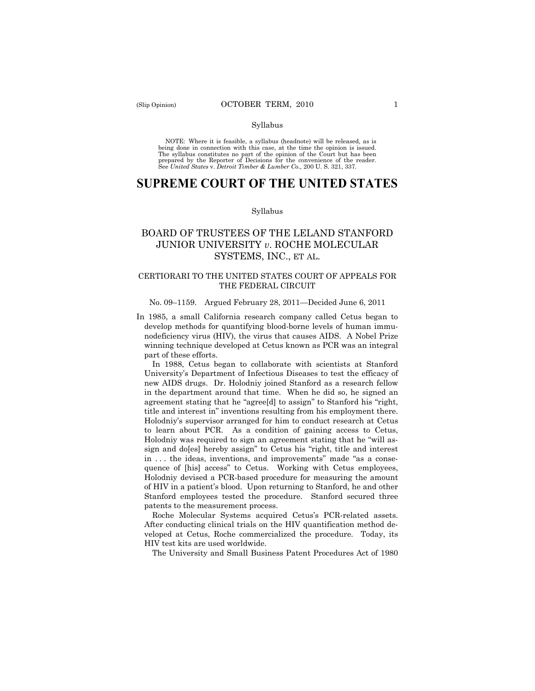#### Syllabus

NOTE: Where it is feasible, a syllabus (headnote) will be released, as is being done in connection with this case, at the time the opinion is issued. The syllabus constitutes no part of the opinion of the Court but has been<br>prepared by the Reporter of Decisions for the convenience of the reader.<br>See United States v. Detroit Timber & Lumber Co., 200 U. S. 321, 337.

# **SUPREME COURT OF THE UNITED STATES**

#### Syllabus

## BOARD OF TRUSTEES OF THE LELAND STANFORD JUNIOR UNIVERSITY *v*. ROCHE MOLECULAR SYSTEMS, INC., ET AL.

## CERTIORARI TO THE UNITED STATES COURT OF APPEALS FOR THE FEDERAL CIRCUIT

#### No. 09–1159. Argued February 28, 2011—Decided June 6, 2011

In 1985, a small California research company called Cetus began to develop methods for quantifying blood-borne levels of human immunodeficiency virus (HIV), the virus that causes AIDS. A Nobel Prize winning technique developed at Cetus known as PCR was an integral part of these efforts.

In 1988, Cetus began to collaborate with scientists at Stanford University's Department of Infectious Diseases to test the efficacy of new AIDS drugs. Dr. Holodniy joined Stanford as a research fellow in the department around that time. When he did so, he signed an agreement stating that he "agree[d] to assign" to Stanford his "right, title and interest in" inventions resulting from his employment there. Holodniy's supervisor arranged for him to conduct research at Cetus to learn about PCR. As a condition of gaining access to Cetus, Holodniy was required to sign an agreement stating that he "will assign and do[es] hereby assign" to Cetus his "right, title and interest in . . . the ideas, inventions, and improvements" made "as a consequence of [his] access" to Cetus. Working with Cetus employees, Holodniy devised a PCR-based procedure for measuring the amount of HIV in a patient's blood. Upon returning to Stanford, he and other Stanford employees tested the procedure. Stanford secured three patents to the measurement process.

Roche Molecular Systems acquired Cetus's PCR-related assets. After conducting clinical trials on the HIV quantification method developed at Cetus, Roche commercialized the procedure. Today, its HIV test kits are used worldwide.

The University and Small Business Patent Procedures Act of 1980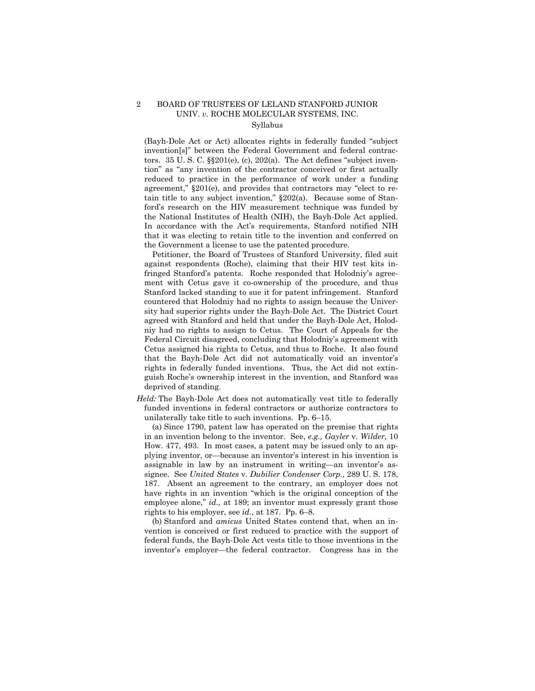## 2 BOARD OF TRUSTEES OF LELAND STANFORD JUNIOR UNIV. *v.* ROCHE MOLECULAR SYSTEMS, INC. Syllabus

(Bayh-Dole Act or Act) allocates rights in federally funded "subject invention[s]" between the Federal Government and federal contractors. 35 U. S. C. §§201(e), (c), 202(a). The Act defines "subject invention" as "any invention of the contractor conceived or first actually reduced to practice in the performance of work under a funding agreement," §201(e), and provides that contractors may "elect to retain title to any subject invention," §202(a). Because some of Stanford's research on the HIV measurement technique was funded by the National Institutes of Health (NIH), the Bayh-Dole Act applied. In accordance with the Act's requirements, Stanford notified NIH that it was electing to retain title to the invention and conferred on the Government a license to use the patented procedure.

Petitioner, the Board of Trustees of Stanford University, filed suit against respondents (Roche), claiming that their HIV test kits infringed Stanford's patents. Roche responded that Holodniy's agreement with Cetus gave it co-ownership of the procedure, and thus Stanford lacked standing to sue it for patent infringement. Stanford countered that Holodniy had no rights to assign because the University had superior rights under the Bayh-Dole Act. The District Court agreed with Stanford and held that under the Bayh-Dole Act, Holodniy had no rights to assign to Cetus. The Court of Appeals for the Federal Circuit disagreed, concluding that Holodniy's agreement with Cetus assigned his rights to Cetus, and thus to Roche. It also found that the Bayh-Dole Act did not automatically void an inventor's rights in federally funded inventions. Thus, the Act did not extinguish Roche's ownership interest in the invention, and Stanford was deprived of standing.

*Held:* The Bayh-Dole Act does not automatically vest title to federally funded inventions in federal contractors or authorize contractors to unilaterally take title to such inventions. Pp. 6–15.

(a) Since 1790, patent law has operated on the premise that rights in an invention belong to the inventor. See, *e.g., Gayler* v. *Wilder,* 10 How. 477, 493. In most cases, a patent may be issued only to an applying inventor, or—because an inventor's interest in his invention is assignable in law by an instrument in writing—an inventor's assignee. See *United States* v. *Dubilier Condenser Corp.*, 289 U. S. 178, 187. Absent an agreement to the contrary, an employer does not have rights in an invention "which is the original conception of the employee alone," *id.*, at 189; an inventor must expressly grant those rights to his employer, see *id.*, at 187. Pp. 6–8.

(b) Stanford and *amicus* United States contend that, when an invention is conceived or first reduced to practice with the support of federal funds, the Bayh-Dole Act vests title to those inventions in the inventor's employer—the federal contractor. Congress has in the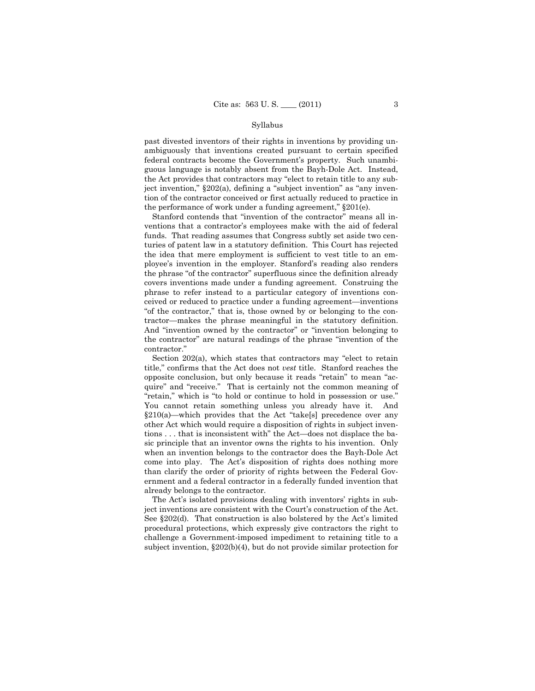#### Syllabus

past divested inventors of their rights in inventions by providing unambiguously that inventions created pursuant to certain specified federal contracts become the Government's property. Such unambiguous language is notably absent from the Bayh-Dole Act. Instead, the Act provides that contractors may "elect to retain title to any subject invention," §202(a), defining a "subject invention" as "any invention of the contractor conceived or first actually reduced to practice in the performance of work under a funding agreement," §201(e).

Stanford contends that "invention of the contractor" means all inventions that a contractor's employees make with the aid of federal funds. That reading assumes that Congress subtly set aside two centuries of patent law in a statutory definition. This Court has rejected the idea that mere employment is sufficient to vest title to an employee's invention in the employer. Stanford's reading also renders the phrase "of the contractor" superfluous since the definition already covers inventions made under a funding agreement. Construing the phrase to refer instead to a particular category of inventions conceived or reduced to practice under a funding agreement—inventions "of the contractor," that is, those owned by or belonging to the contractor—makes the phrase meaningful in the statutory definition. And "invention owned by the contractor" or "invention belonging to the contractor" are natural readings of the phrase "invention of the contractor."

Section 202(a), which states that contractors may "elect to retain title," confirms that the Act does not *vest* title. Stanford reaches the opposite conclusion, but only because it reads "retain" to mean "acquire" and "receive." That is certainly not the common meaning of "retain," which is "to hold or continue to hold in possession or use." You cannot retain something unless you already have it. And §210(a)—which provides that the Act "take[s] precedence over any other Act which would require a disposition of rights in subject inventions . . . that is inconsistent with" the Act—does not displace the basic principle that an inventor owns the rights to his invention. Only when an invention belongs to the contractor does the Bayh-Dole Act come into play. The Act's disposition of rights does nothing more than clarify the order of priority of rights between the Federal Government and a federal contractor in a federally funded invention that already belongs to the contractor.

The Act's isolated provisions dealing with inventors' rights in subject inventions are consistent with the Court's construction of the Act. See §202(d). That construction is also bolstered by the Act's limited procedural protections, which expressly give contractors the right to challenge a Government-imposed impediment to retaining title to a subject invention, §202(b)(4), but do not provide similar protection for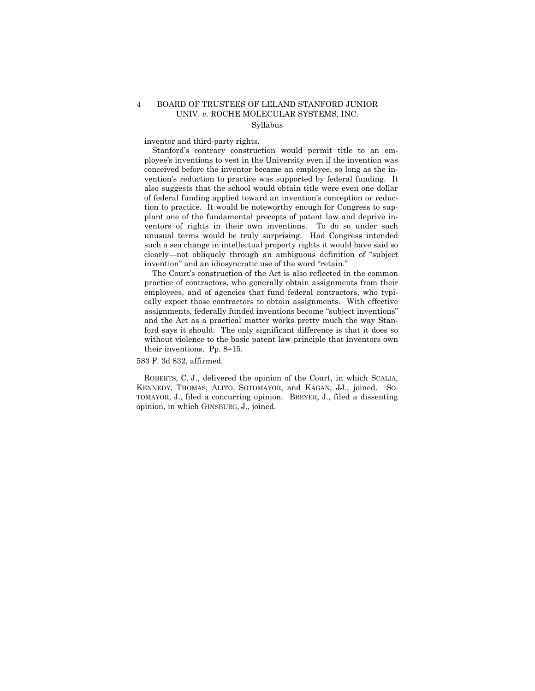## 4 BOARD OF TRUSTEES OF LELAND STANFORD JUNIOR UNIV. *v.* ROCHE MOLECULAR SYSTEMS, INC. Syllabus

inventor and third-party rights.

Stanford's contrary construction would permit title to an employee's inventions to vest in the University even if the invention was conceived before the inventor became an employee, so long as the invention's reduction to practice was supported by federal funding. It also suggests that the school would obtain title were even one dollar of federal funding applied toward an invention's conception or reduction to practice. It would be noteworthy enough for Congress to supplant one of the fundamental precepts of patent law and deprive inventors of rights in their own inventions. To do so under such unusual terms would be truly surprising. Had Congress intended such a sea change in intellectual property rights it would have said so clearly—not obliquely through an ambiguous definition of "subject invention" and an idiosyncratic use of the word "retain."

The Court's construction of the Act is also reflected in the common practice of contractors, who generally obtain assignments from their employees, and of agencies that fund federal contractors, who typically expect those contractors to obtain assignments. With effective assignments, federally funded inventions become "subject inventions" and the Act as a practical matter works pretty much the way Stanford says it should. The only significant difference is that it does so without violence to the basic patent law principle that inventors own their inventions. Pp. 8–15.

583 F. 3d 832, affirmed.

ROBERTS, C. J., delivered the opinion of the Court, in which SCALIA, KENNEDY, THOMAS, ALITO, SOTOMAYOR, and KAGAN, JJ., joined. SO-TOMAYOR, J., filed a concurring opinion. BREYER, J., filed a dissenting opinion, in which GINSBURG, J., joined.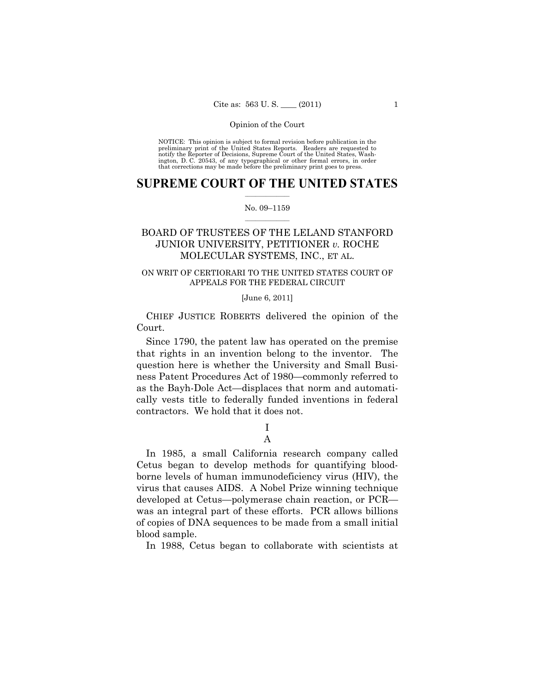NOTICE: This opinion is subject to formal revision before publication in the preliminary print of the United States Reports. Readers are requested to notify the Reporter of Decisions, Supreme Court of the United States, Washington, D. C. 20543, of any typographical or other formal errors, in order that corrections may be made before the preliminary print goes to press.

## $\frac{1}{2}$  , where  $\frac{1}{2}$ **SUPREME COURT OF THE UNITED STATES**

#### $\frac{1}{2}$  ,  $\frac{1}{2}$  ,  $\frac{1}{2}$  ,  $\frac{1}{2}$  ,  $\frac{1}{2}$  ,  $\frac{1}{2}$ No. 09–1159

## BOARD OF TRUSTEES OF THE LELAND STANFORD JUNIOR UNIVERSITY, PETITIONER *v.* ROCHE MOLECULAR SYSTEMS, INC., ET AL.

## ON WRIT OF CERTIORARI TO THE UNITED STATES COURT OF APPEALS FOR THE FEDERAL CIRCUIT

## [June 6, 2011]

 CHIEF JUSTICE ROBERTS delivered the opinion of the Court.

Since 1790, the patent law has operated on the premise that rights in an invention belong to the inventor. The question here is whether the University and Small Business Patent Procedures Act of 1980—commonly referred to as the Bayh-Dole Act—displaces that norm and automatically vests title to federally funded inventions in federal contractors. We hold that it does not.

> I A

In 1985, a small California research company called Cetus began to develop methods for quantifying bloodborne levels of human immunodeficiency virus (HIV), the virus that causes AIDS. A Nobel Prize winning technique developed at Cetus—polymerase chain reaction, or PCR was an integral part of these efforts. PCR allows billions of copies of DNA sequences to be made from a small initial blood sample.

In 1988, Cetus began to collaborate with scientists at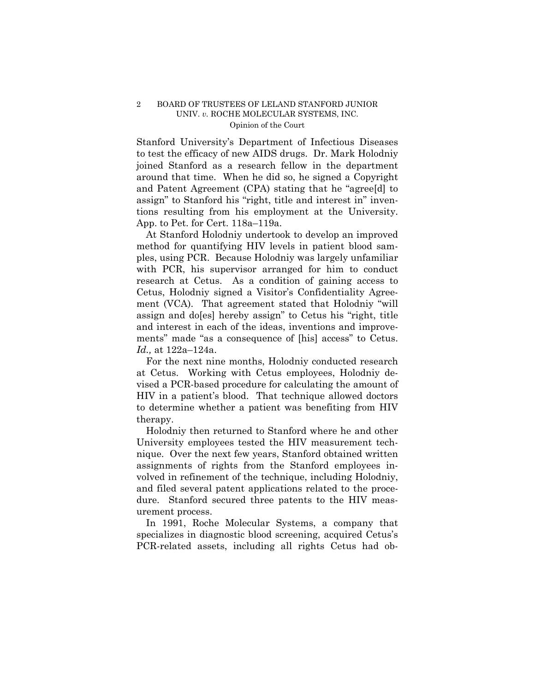Stanford University's Department of Infectious Diseases to test the efficacy of new AIDS drugs. Dr. Mark Holodniy joined Stanford as a research fellow in the department around that time. When he did so, he signed a Copyright and Patent Agreement (CPA) stating that he "agree[d] to assign" to Stanford his "right, title and interest in" inventions resulting from his employment at the University. App. to Pet. for Cert. 118a–119a.

At Stanford Holodniy undertook to develop an improved method for quantifying HIV levels in patient blood samples, using PCR. Because Holodniy was largely unfamiliar with PCR, his supervisor arranged for him to conduct research at Cetus. As a condition of gaining access to Cetus, Holodniy signed a Visitor's Confidentiality Agreement (VCA). That agreement stated that Holodniy "will assign and do[es] hereby assign" to Cetus his "right, title and interest in each of the ideas, inventions and improvements" made "as a consequence of [his] access" to Cetus. *Id.,* at 122a–124a.

For the next nine months, Holodniy conducted research at Cetus. Working with Cetus employees, Holodniy devised a PCR-based procedure for calculating the amount of HIV in a patient's blood. That technique allowed doctors to determine whether a patient was benefiting from HIV therapy.

Holodniy then returned to Stanford where he and other University employees tested the HIV measurement technique. Over the next few years, Stanford obtained written assignments of rights from the Stanford employees involved in refinement of the technique, including Holodniy, and filed several patent applications related to the procedure. Stanford secured three patents to the HIV measurement process.

In 1991, Roche Molecular Systems, a company that specializes in diagnostic blood screening, acquired Cetus's PCR-related assets, including all rights Cetus had ob-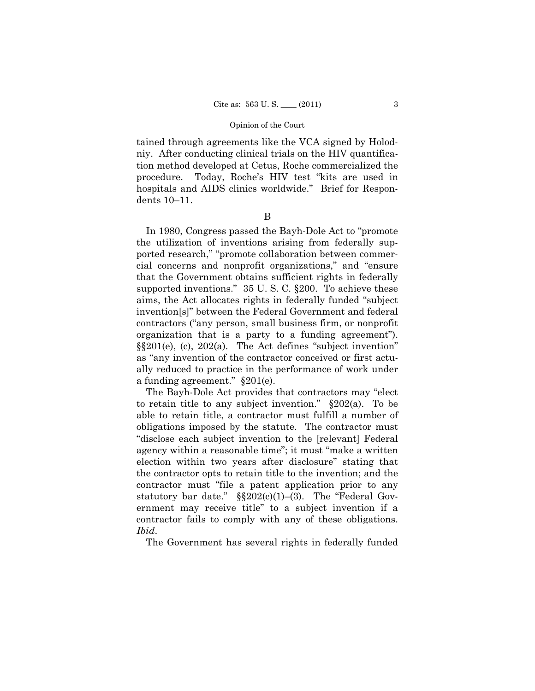tained through agreements like the VCA signed by Holodniy. After conducting clinical trials on the HIV quantification method developed at Cetus, Roche commercialized the procedure. Today, Roche's HIV test "kits are used in hospitals and AIDS clinics worldwide." Brief for Respondents 10–11.

B

In 1980, Congress passed the Bayh-Dole Act to "promote the utilization of inventions arising from federally supported research," "promote collaboration between commercial concerns and nonprofit organizations," and "ensure that the Government obtains sufficient rights in federally supported inventions." 35 U. S. C. §200. To achieve these aims, the Act allocates rights in federally funded "subject invention[s]" between the Federal Government and federal contractors ("any person, small business firm, or nonprofit organization that is a party to a funding agreement"). §§201(e), (c), 202(a). The Act defines "subject invention" as "any invention of the contractor conceived or first actually reduced to practice in the performance of work under a funding agreement." §201(e).

The Bayh-Dole Act provides that contractors may "elect to retain title to any subject invention." §202(a). To be able to retain title, a contractor must fulfill a number of obligations imposed by the statute. The contractor must "disclose each subject invention to the [relevant] Federal agency within a reasonable time"; it must "make a written election within two years after disclosure" stating that the contractor opts to retain title to the invention; and the contractor must "file a patent application prior to any statutory bar date."  $\S$  $202(c)(1)–(3)$ . The "Federal Government may receive title" to a subject invention if a contractor fails to comply with any of these obligations. *Ibid*.

The Government has several rights in federally funded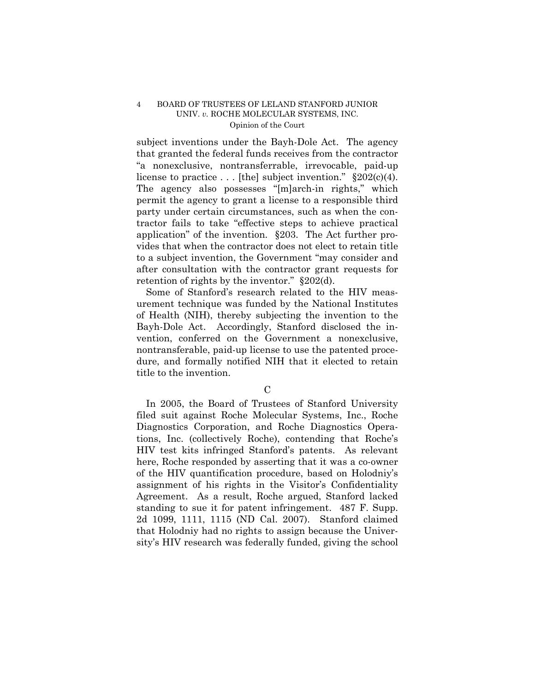subject inventions under the Bayh-Dole Act. The agency that granted the federal funds receives from the contractor "a nonexclusive, nontransferrable, irrevocable, paid-up license to practice . . . [the] subject invention."  $\S 202(c)(4)$ . The agency also possesses "[m]arch-in rights," which permit the agency to grant a license to a responsible third party under certain circumstances, such as when the contractor fails to take "effective steps to achieve practical application" of the invention. §203. The Act further provides that when the contractor does not elect to retain title to a subject invention, the Government "may consider and after consultation with the contractor grant requests for retention of rights by the inventor." §202(d).

Some of Stanford's research related to the HIV measurement technique was funded by the National Institutes of Health (NIH), thereby subjecting the invention to the Bayh-Dole Act. Accordingly, Stanford disclosed the invention, conferred on the Government a nonexclusive, nontransferable, paid-up license to use the patented procedure, and formally notified NIH that it elected to retain title to the invention.

In 2005, the Board of Trustees of Stanford University filed suit against Roche Molecular Systems, Inc., Roche Diagnostics Corporation, and Roche Diagnostics Operations, Inc. (collectively Roche), contending that Roche's HIV test kits infringed Stanford's patents. As relevant here, Roche responded by asserting that it was a co-owner of the HIV quantification procedure, based on Holodniy's assignment of his rights in the Visitor's Confidentiality Agreement. As a result, Roche argued, Stanford lacked standing to sue it for patent infringement. 487 F. Supp. 2d 1099, 1111, 1115 (ND Cal. 2007). Stanford claimed that Holodniy had no rights to assign because the University's HIV research was federally funded, giving the school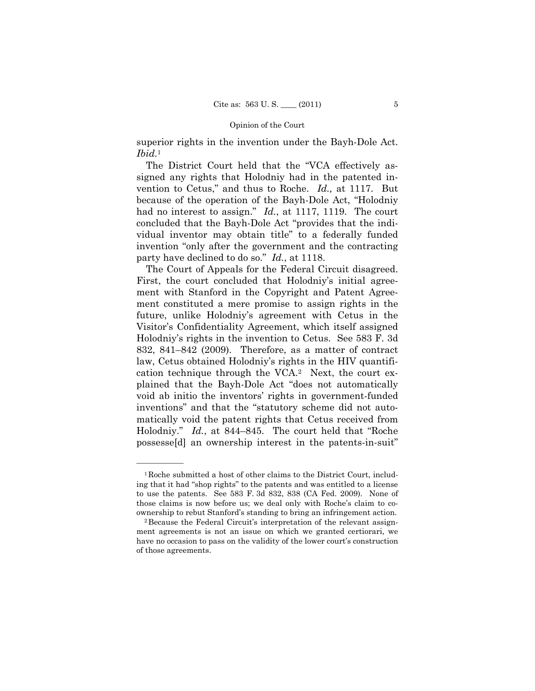superior rights in the invention under the Bayh-Dole Act. *Ibid.*<sup>1</sup>

The District Court held that the "VCA effectively assigned any rights that Holodniy had in the patented invention to Cetus," and thus to Roche. *Id.,* at 1117. But because of the operation of the Bayh-Dole Act, "Holodniy had no interest to assign." *Id.*, at 1117, 1119. The court concluded that the Bayh-Dole Act "provides that the individual inventor may obtain title" to a federally funded invention "only after the government and the contracting party have declined to do so." *Id.*, at 1118.

The Court of Appeals for the Federal Circuit disagreed. First, the court concluded that Holodniy's initial agreement with Stanford in the Copyright and Patent Agreement constituted a mere promise to assign rights in the future, unlike Holodniy's agreement with Cetus in the Visitor's Confidentiality Agreement, which itself assigned Holodniy's rights in the invention to Cetus. See 583 F. 3d 832, 841–842 (2009). Therefore, as a matter of contract law, Cetus obtained Holodniy's rights in the HIV quantification technique through the VCA.2 Next, the court explained that the Bayh-Dole Act "does not automatically void ab initio the inventors' rights in government-funded inventions" and that the "statutory scheme did not automatically void the patent rights that Cetus received from Holodniy." *Id.*, at 844–845. The court held that "Roche possesse[d] an ownership interest in the patents-in-suit"

<sup>1</sup>Roche submitted a host of other claims to the District Court, including that it had "shop rights" to the patents and was entitled to a license to use the patents. See 583 F. 3d 832, 838 (CA Fed. 2009). None of those claims is now before us; we deal only with Roche's claim to coownership to rebut Stanford's standing to bring an infringement action. 2Because the Federal Circuit's interpretation of the relevant assign-

ment agreements is not an issue on which we granted certiorari, we have no occasion to pass on the validity of the lower court's construction of those agreements.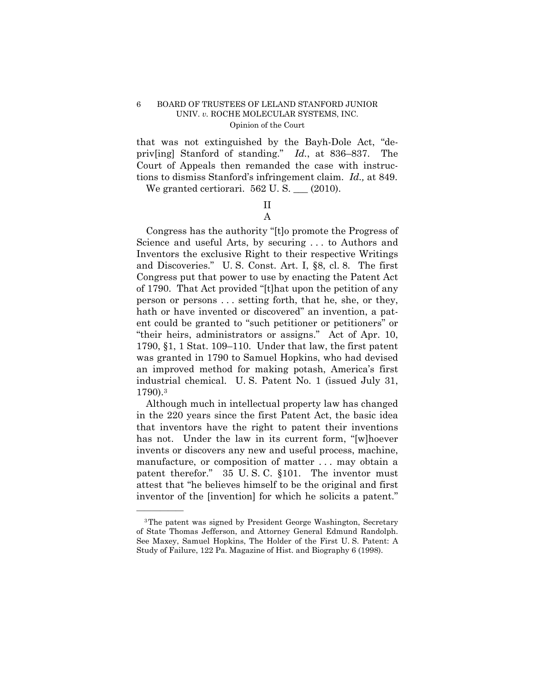that was not extinguished by the Bayh-Dole Act, "depriv[ing] Stanford of standing." *Id.*, at 836–837. The Court of Appeals then remanded the case with instructions to dismiss Stanford's infringement claim. *Id.,* at 849.

We granted certiorari.  $562$  U. S.  $\_\_$  (2010).

## II A

Congress has the authority "[t]o promote the Progress of Science and useful Arts, by securing . . . to Authors and Inventors the exclusive Right to their respective Writings and Discoveries." U. S. Const. Art. I, §8, cl. 8. The first Congress put that power to use by enacting the Patent Act of 1790. That Act provided "[t]hat upon the petition of any person or persons . . . setting forth, that he, she, or they, hath or have invented or discovered" an invention, a patent could be granted to "such petitioner or petitioners" or "their heirs, administrators or assigns." Act of Apr. 10, 1790, §1, 1 Stat. 109–110. Under that law, the first patent was granted in 1790 to Samuel Hopkins, who had devised an improved method for making potash, America's first industrial chemical. U. S. Patent No. 1 (issued July 31, 1790).3

Although much in intellectual property law has changed in the 220 years since the first Patent Act, the basic idea that inventors have the right to patent their inventions has not. Under the law in its current form, "[w]hoever invents or discovers any new and useful process, machine, manufacture, or composition of matter . . . may obtain a patent therefor." 35 U. S. C. §101. The inventor must attest that "he believes himself to be the original and first inventor of the [invention] for which he solicits a patent."

<sup>3</sup>The patent was signed by President George Washington, Secretary of State Thomas Jefferson, and Attorney General Edmund Randolph. See Maxey, Samuel Hopkins, The Holder of the First U. S. Patent: A Study of Failure, 122 Pa. Magazine of Hist. and Biography 6 (1998).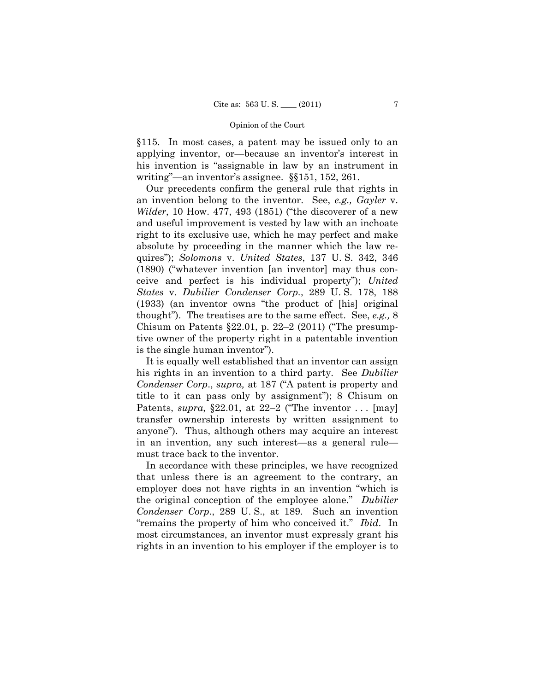§115. In most cases, a patent may be issued only to an applying inventor, or—because an inventor's interest in his invention is "assignable in law by an instrument in writing"—an inventor's assignee. §§151, 152, 261.

Our precedents confirm the general rule that rights in an invention belong to the inventor. See, *e.g., Gayler* v. *Wilder*, 10 How. 477, 493 (1851) ("the discoverer of a new and useful improvement is vested by law with an inchoate right to its exclusive use, which he may perfect and make absolute by proceeding in the manner which the law requires"); *Solomons* v. *United States*, 137 U. S. 342, 346 (1890) ("whatever invention [an inventor] may thus conceive and perfect is his individual property"); *United States* v. *Dubilier Condenser Corp.*, 289 U. S. 178, 188 (1933) (an inventor owns "the product of [his] original thought"). The treatises are to the same effect. See, *e.g.,* 8 Chisum on Patents  $\S 22.01$ , p. 22–2 (2011) ("The presumptive owner of the property right in a patentable invention is the single human inventor").

It is equally well established that an inventor can assign his rights in an invention to a third party. See *Dubilier Condenser Corp*., *supra,* at 187 ("A patent is property and title to it can pass only by assignment"); 8 Chisum on Patents, *supra*, §22.01, at 22–2 ("The inventor . . . [may] transfer ownership interests by written assignment to anyone"). Thus, although others may acquire an interest in an invention, any such interest—as a general rule must trace back to the inventor.

In accordance with these principles, we have recognized that unless there is an agreement to the contrary, an employer does not have rights in an invention "which is the original conception of the employee alone." *Dubilier Condenser Corp*., 289 U. S., at 189. Such an invention "remains the property of him who conceived it." *Ibid*. In most circumstances, an inventor must expressly grant his rights in an invention to his employer if the employer is to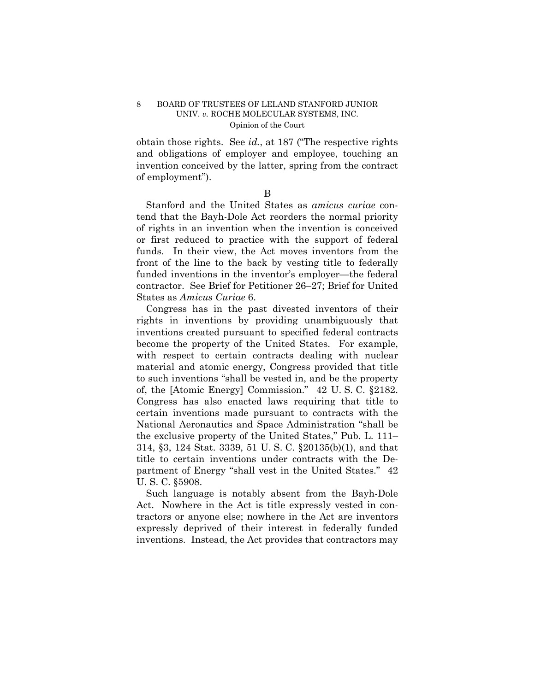obtain those rights. See *id.*, at 187 ("The respective rights and obligations of employer and employee, touching an invention conceived by the latter, spring from the contract of employment").

B

Stanford and the United States as *amicus curiae* contend that the Bayh-Dole Act reorders the normal priority of rights in an invention when the invention is conceived or first reduced to practice with the support of federal funds. In their view, the Act moves inventors from the front of the line to the back by vesting title to federally funded inventions in the inventor's employer—the federal contractor. See Brief for Petitioner 26–27; Brief for United States as *Amicus Curiae* 6.

Congress has in the past divested inventors of their rights in inventions by providing unambiguously that inventions created pursuant to specified federal contracts become the property of the United States. For example, with respect to certain contracts dealing with nuclear material and atomic energy, Congress provided that title to such inventions "shall be vested in, and be the property of, the [Atomic Energy] Commission." 42 U. S. C. §2182. Congress has also enacted laws requiring that title to certain inventions made pursuant to contracts with the National Aeronautics and Space Administration "shall be the exclusive property of the United States," Pub. L. 111– 314, §3, 124 Stat. 3339, 51 U. S. C. §20135(b)(1), and that title to certain inventions under contracts with the Department of Energy "shall vest in the United States." 42 U. S. C. §5908.

Such language is notably absent from the Bayh-Dole Act. Nowhere in the Act is title expressly vested in contractors or anyone else; nowhere in the Act are inventors expressly deprived of their interest in federally funded inventions. Instead, the Act provides that contractors may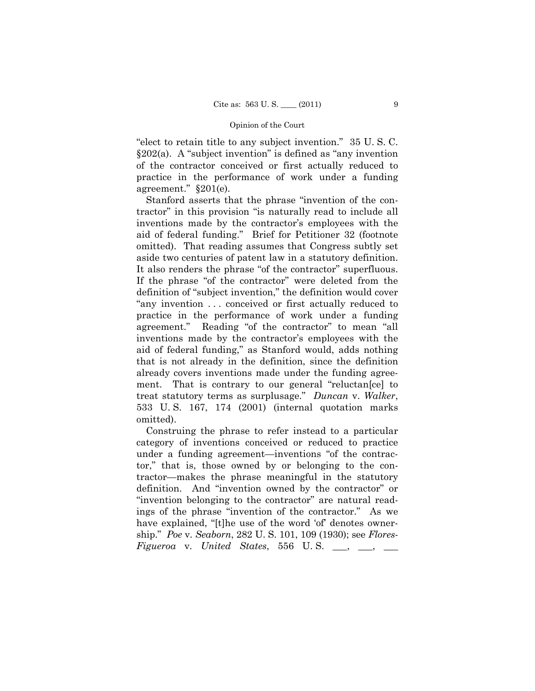"elect to retain title to any subject invention." 35 U. S. C. §202(a). A "subject invention" is defined as "any invention of the contractor conceived or first actually reduced to practice in the performance of work under a funding agreement." §201(e).

Stanford asserts that the phrase "invention of the contractor" in this provision "is naturally read to include all inventions made by the contractor's employees with the aid of federal funding." Brief for Petitioner 32 (footnote omitted). That reading assumes that Congress subtly set aside two centuries of patent law in a statutory definition. It also renders the phrase "of the contractor" superfluous. If the phrase "of the contractor" were deleted from the definition of "subject invention," the definition would cover "any invention . . . conceived or first actually reduced to practice in the performance of work under a funding agreement." Reading "of the contractor" to mean "all inventions made by the contractor's employees with the aid of federal funding," as Stanford would, adds nothing that is not already in the definition, since the definition already covers inventions made under the funding agreement. That is contrary to our general "reluctan[ce] to treat statutory terms as surplusage." *Duncan* v. *Walker*, 533 U. S. 167, 174 (2001) (internal quotation marks omitted).

Construing the phrase to refer instead to a particular category of inventions conceived or reduced to practice under a funding agreement—inventions "of the contractor," that is, those owned by or belonging to the contractor—makes the phrase meaningful in the statutory definition. And "invention owned by the contractor" or "invention belonging to the contractor" are natural readings of the phrase "invention of the contractor." As we have explained, "[t]he use of the word 'of' denotes ownership." *Poe* v. *Seaborn*, 282 U. S. 101, 109 (1930); see *Flores-* $Figure 7a$  v. *United States*, 556 U.S.  $\_\_\_\$ ,  $\_\_\_\$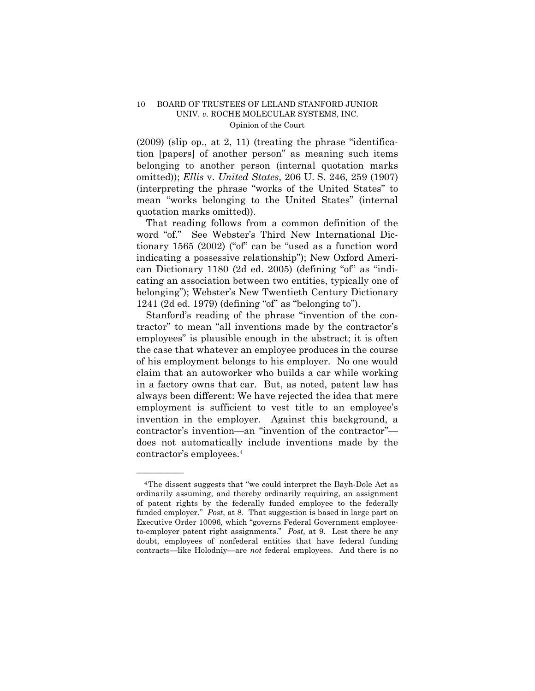(2009) (slip op., at 2, 11) (treating the phrase "identification [papers] of another person" as meaning such items belonging to another person (internal quotation marks omitted)); *Ellis* v. *United States*, 206 U. S. 246, 259 (1907) (interpreting the phrase "works of the United States" to mean "works belonging to the United States" (internal quotation marks omitted)).

That reading follows from a common definition of the word "of." See Webster's Third New International Dictionary 1565 (2002) ("of" can be "used as a function word indicating a possessive relationship"); New Oxford American Dictionary 1180 (2d ed. 2005) (defining "of" as "indicating an association between two entities, typically one of belonging"); Webster's New Twentieth Century Dictionary 1241 (2d ed. 1979) (defining "of" as "belonging to").

Stanford's reading of the phrase "invention of the contractor" to mean "all inventions made by the contractor's employees" is plausible enough in the abstract; it is often the case that whatever an employee produces in the course of his employment belongs to his employer. No one would claim that an autoworker who builds a car while working in a factory owns that car. But, as noted, patent law has always been different: We have rejected the idea that mere employment is sufficient to vest title to an employee's invention in the employer. Against this background, a contractor's invention—an "invention of the contractor" does not automatically include inventions made by the contractor's employees.4

<sup>4</sup>The dissent suggests that "we could interpret the Bayh-Dole Act as ordinarily assuming, and thereby ordinarily requiring, an assignment of patent rights by the federally funded employee to the federally funded employer." *Post*, at 8. That suggestion is based in large part on Executive Order 10096, which "governs Federal Government employeeto-employer patent right assignments." *Post,* at 9. Lest there be any doubt, employees of nonfederal entities that have federal funding contracts—like Holodniy—are *not* federal employees. And there is no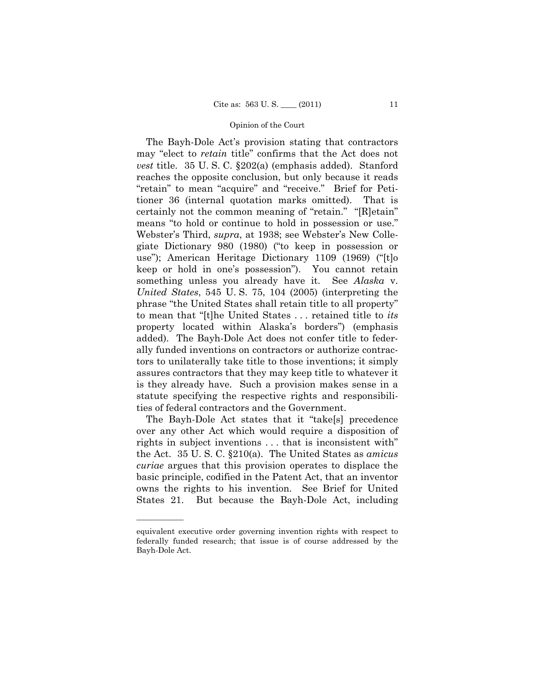The Bayh-Dole Act's provision stating that contractors may "elect to *retain* title" confirms that the Act does not *vest* title. 35 U. S. C. §202(a) (emphasis added). Stanford reaches the opposite conclusion, but only because it reads "retain" to mean "acquire" and "receive." Brief for Petitioner 36 (internal quotation marks omitted). That is certainly not the common meaning of "retain." "[R]etain" means "to hold or continue to hold in possession or use." Webster's Third, *supra*, at 1938; see Webster's New Collegiate Dictionary 980 (1980) ("to keep in possession or use"); American Heritage Dictionary 1109 (1969) ("[t]o keep or hold in one's possession"). You cannot retain something unless you already have it. See *Alaska* v. *United States*, 545 U. S. 75, 104 (2005) (interpreting the phrase "the United States shall retain title to all property" to mean that "[t]he United States . . . retained title to *its*  property located within Alaska's borders") (emphasis added). The Bayh-Dole Act does not confer title to federally funded inventions on contractors or authorize contractors to unilaterally take title to those inventions; it simply assures contractors that they may keep title to whatever it is they already have. Such a provision makes sense in a statute specifying the respective rights and responsibilities of federal contractors and the Government.

The Bayh-Dole Act states that it "take[s] precedence over any other Act which would require a disposition of rights in subject inventions . . . that is inconsistent with" the Act. 35 U. S. C. §210(a). The United States as *amicus curiae* argues that this provision operates to displace the basic principle, codified in the Patent Act, that an inventor owns the rights to his invention. See Brief for United States 21. But because the Bayh-Dole Act, including

equivalent executive order governing invention rights with respect to federally funded research; that issue is of course addressed by the Bayh-Dole Act.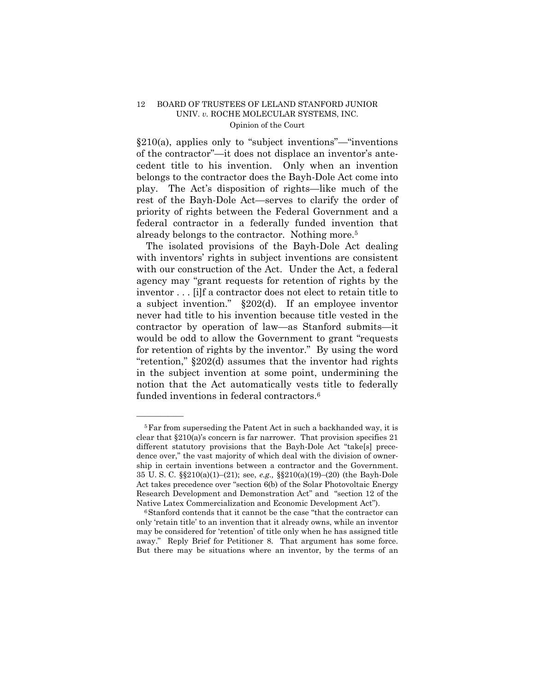$§210(a)$ , applies only to "subject inventions"—"inventions" of the contractor"—it does not displace an inventor's antecedent title to his invention. Only when an invention belongs to the contractor does the Bayh-Dole Act come into play. The Act's disposition of rights—like much of the rest of the Bayh-Dole Act—serves to clarify the order of priority of rights between the Federal Government and a federal contractor in a federally funded invention that already belongs to the contractor. Nothing more.5

The isolated provisions of the Bayh-Dole Act dealing with inventors' rights in subject inventions are consistent with our construction of the Act. Under the Act, a federal agency may "grant requests for retention of rights by the inventor . . . [i]f a contractor does not elect to retain title to a subject invention." §202(d). If an employee inventor never had title to his invention because title vested in the contractor by operation of law—as Stanford submits—it would be odd to allow the Government to grant "requests for retention of rights by the inventor." By using the word "retention," §202(d) assumes that the inventor had rights in the subject invention at some point, undermining the notion that the Act automatically vests title to federally funded inventions in federal contractors.6

<sup>&</sup>lt;sup>5</sup>Far from superseding the Patent Act in such a backhanded way, it is clear that  $\S210(a)$ 's concern is far narrower. That provision specifies 21 different statutory provisions that the Bayh-Dole Act "take[s] precedence over," the vast majority of which deal with the division of ownership in certain inventions between a contractor and the Government. 35 U. S. C. §§210(a)(1)–(21); see, *e.g.,* §§210(a)(19)–(20) (the Bayh-Dole Act takes precedence over "section 6(b) of the Solar Photovoltaic Energy Research Development and Demonstration Act" and "section 12 of the Native Latex Commercialization and Economic Development Act").<br><sup>6</sup>Stanford contends that it cannot be the case "that the contractor can

only 'retain title' to an invention that it already owns, while an inventor may be considered for 'retention' of title only when he has assigned title away." Reply Brief for Petitioner 8. That argument has some force. But there may be situations where an inventor, by the terms of an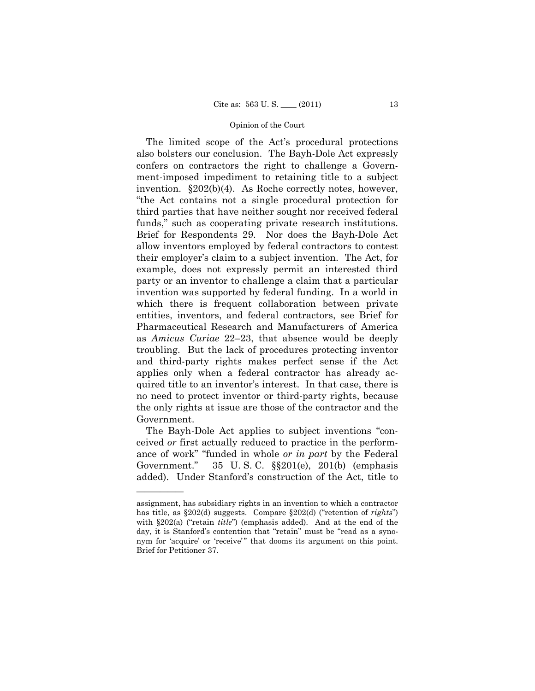The limited scope of the Act's procedural protections also bolsters our conclusion. The Bayh-Dole Act expressly confers on contractors the right to challenge a Government-imposed impediment to retaining title to a subject invention. §202(b)(4). As Roche correctly notes, however, "the Act contains not a single procedural protection for third parties that have neither sought nor received federal funds," such as cooperating private research institutions. Brief for Respondents 29. Nor does the Bayh-Dole Act allow inventors employed by federal contractors to contest their employer's claim to a subject invention. The Act, for example, does not expressly permit an interested third party or an inventor to challenge a claim that a particular invention was supported by federal funding. In a world in which there is frequent collaboration between private entities, inventors, and federal contractors, see Brief for Pharmaceutical Research and Manufacturers of America as *Amicus Curiae* 22–23, that absence would be deeply troubling. But the lack of procedures protecting inventor and third-party rights makes perfect sense if the Act applies only when a federal contractor has already acquired title to an inventor's interest. In that case, there is no need to protect inventor or third-party rights, because the only rights at issue are those of the contractor and the Government.

The Bayh-Dole Act applies to subject inventions "conceived *or* first actually reduced to practice in the performance of work" "funded in whole *or in part* by the Federal Government." 35 U. S. C. §§201(e), 201(b) (emphasis added). Under Stanford's construction of the Act, title to

assignment, has subsidiary rights in an invention to which a contractor has title, as §202(d) suggests. Compare §202(d) ("retention of *rights*") with §202(a) ("retain *title*") (emphasis added). And at the end of the day, it is Stanford's contention that "retain" must be "read as a synonym for 'acquire' or 'receive'" that dooms its argument on this point. Brief for Petitioner 37.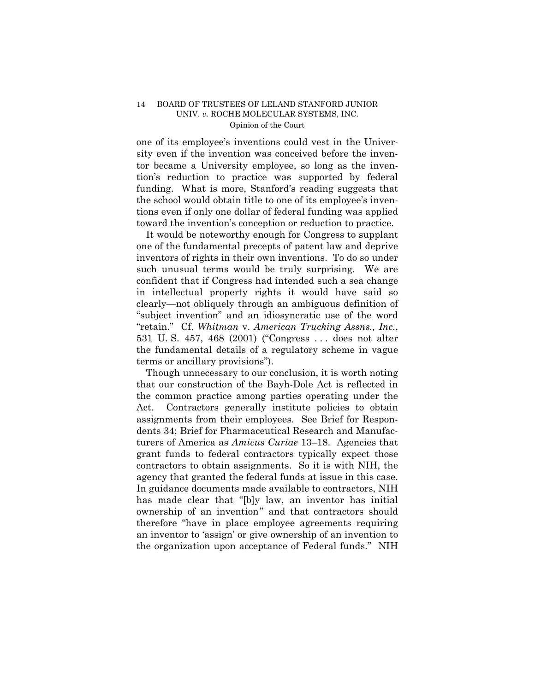one of its employee's inventions could vest in the University even if the invention was conceived before the inventor became a University employee, so long as the invention's reduction to practice was supported by federal funding. What is more, Stanford's reading suggests that the school would obtain title to one of its employee's inventions even if only one dollar of federal funding was applied toward the invention's conception or reduction to practice.

It would be noteworthy enough for Congress to supplant one of the fundamental precepts of patent law and deprive inventors of rights in their own inventions. To do so under such unusual terms would be truly surprising. We are confident that if Congress had intended such a sea change in intellectual property rights it would have said so clearly—not obliquely through an ambiguous definition of "subject invention" and an idiosyncratic use of the word "retain." Cf. *Whitman* v. *American Trucking Assns., Inc.*, 531 U. S. 457, 468 (2001) ("Congress . . . does not alter the fundamental details of a regulatory scheme in vague terms or ancillary provisions").

Though unnecessary to our conclusion, it is worth noting that our construction of the Bayh-Dole Act is reflected in the common practice among parties operating under the Act. Contractors generally institute policies to obtain assignments from their employees. See Brief for Respondents 34; Brief for Pharmaceutical Research and Manufacturers of America as *Amicus Curiae* 13–18. Agencies that grant funds to federal contractors typically expect those contractors to obtain assignments. So it is with NIH, the agency that granted the federal funds at issue in this case. In guidance documents made available to contractors, NIH has made clear that "[b]y law, an inventor has initial ownership of an invention" and that contractors should therefore "have in place employee agreements requiring an inventor to 'assign' or give ownership of an invention to the organization upon acceptance of Federal funds." NIH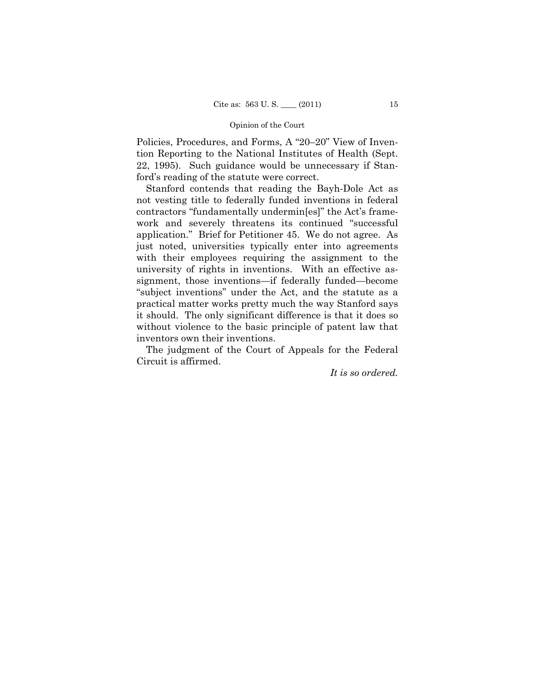Policies, Procedures, and Forms, A "20–20" View of Invention Reporting to the National Institutes of Health (Sept. 22, 1995). Such guidance would be unnecessary if Stanford's reading of the statute were correct.

Stanford contends that reading the Bayh-Dole Act as not vesting title to federally funded inventions in federal contractors "fundamentally undermin[es]" the Act's framework and severely threatens its continued "successful application." Brief for Petitioner 45. We do not agree. As just noted, universities typically enter into agreements with their employees requiring the assignment to the university of rights in inventions. With an effective assignment, those inventions—if federally funded—become "subject inventions" under the Act, and the statute as a practical matter works pretty much the way Stanford says it should. The only significant difference is that it does so without violence to the basic principle of patent law that inventors own their inventions.

The judgment of the Court of Appeals for the Federal Circuit is affirmed.

*It is so ordered.*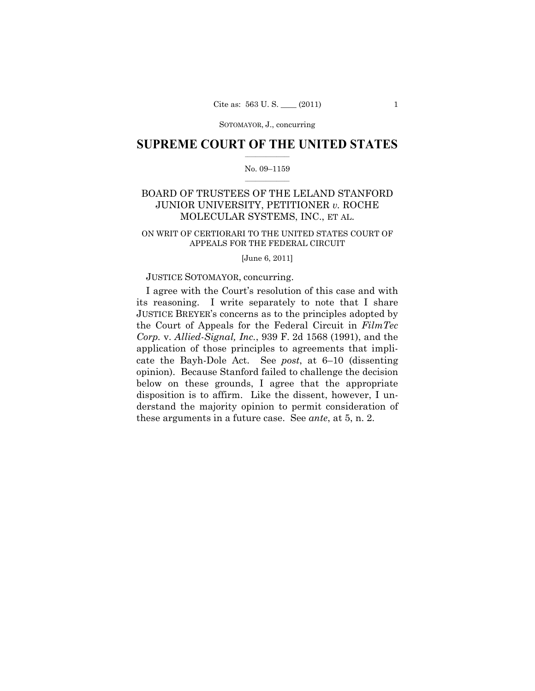SOTOMAYOR, J., concurring

## $\frac{1}{2}$  , where  $\frac{1}{2}$ **SUPREME COURT OF THE UNITED STATES**

#### $\frac{1}{2}$  ,  $\frac{1}{2}$  ,  $\frac{1}{2}$  ,  $\frac{1}{2}$  ,  $\frac{1}{2}$  ,  $\frac{1}{2}$ No. 09–1159

## BOARD OF TRUSTEES OF THE LELAND STANFORD JUNIOR UNIVERSITY, PETITIONER *v.* ROCHE MOLECULAR SYSTEMS, INC., ET AL.

## ON WRIT OF CERTIORARI TO THE UNITED STATES COURT OF APPEALS FOR THE FEDERAL CIRCUIT

[June 6, 2011]

#### JUSTICE SOTOMAYOR, concurring.

I agree with the Court's resolution of this case and with its reasoning. I write separately to note that I share JUSTICE BREYER's concerns as to the principles adopted by the Court of Appeals for the Federal Circuit in *FilmTec Corp.* v. *Allied-Signal, Inc.*, 939 F. 2d 1568 (1991), and the application of those principles to agreements that implicate the Bayh-Dole Act. See *post*, at 6–10 (dissenting opinion). Because Stanford failed to challenge the decision below on these grounds, I agree that the appropriate disposition is to affirm. Like the dissent, however, I understand the majority opinion to permit consideration of these arguments in a future case. See *ante*, at 5, n. 2.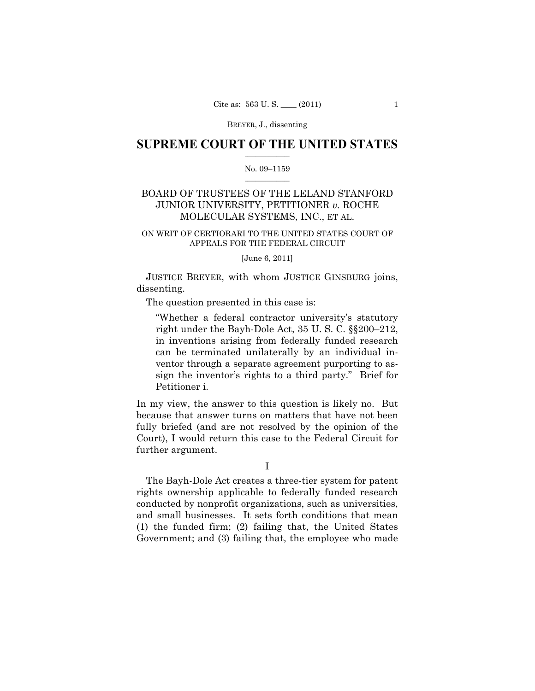BREYER, J., dissenting

## $\frac{1}{2}$  , where  $\frac{1}{2}$ **SUPREME COURT OF THE UNITED STATES**

#### $\frac{1}{2}$  ,  $\frac{1}{2}$  ,  $\frac{1}{2}$  ,  $\frac{1}{2}$  ,  $\frac{1}{2}$  ,  $\frac{1}{2}$ No. 09–1159

# BOARD OF TRUSTEES OF THE LELAND STANFORD JUNIOR UNIVERSITY, PETITIONER *v.* ROCHE MOLECULAR SYSTEMS, INC., ET AL.

## ON WRIT OF CERTIORARI TO THE UNITED STATES COURT OF APPEALS FOR THE FEDERAL CIRCUIT

#### [June 6, 2011]

 JUSTICE BREYER, with whom JUSTICE GINSBURG joins, dissenting.

The question presented in this case is:

"Whether a federal contractor university's statutory right under the Bayh-Dole Act, 35 U. S. C. §§200–212, in inventions arising from federally funded research can be terminated unilaterally by an individual inventor through a separate agreement purporting to assign the inventor's rights to a third party." Brief for Petitioner i.

In my view, the answer to this question is likely no. But because that answer turns on matters that have not been fully briefed (and are not resolved by the opinion of the Court), I would return this case to the Federal Circuit for further argument.

The Bayh-Dole Act creates a three-tier system for patent rights ownership applicable to federally funded research conducted by nonprofit organizations, such as universities, and small businesses. It sets forth conditions that mean (1) the funded firm; (2) failing that, the United States Government; and (3) failing that, the employee who made

I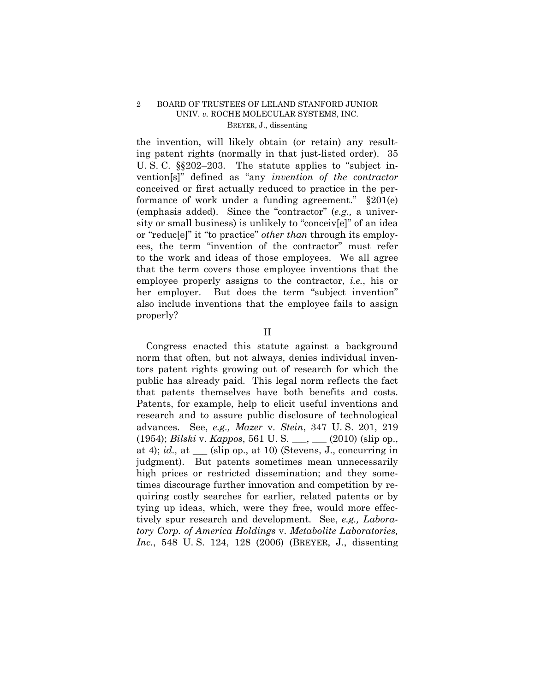## 2 BOARD OF TRUSTEES OF LELAND STANFORD JUNIOR UNIV. *v.* ROCHE MOLECULAR SYSTEMS, INC. BREYER, J., dissenting

the invention, will likely obtain (or retain) any resulting patent rights (normally in that just-listed order). 35 U. S. C. §§202–203. The statute applies to "subject invention[s]" defined as "any *invention of the contractor*  conceived or first actually reduced to practice in the performance of work under a funding agreement." §201(e) (emphasis added). Since the "contractor" (*e.g.,* a university or small business) is unlikely to "conceiv[e]" of an idea or "reduc[e]" it "to practice" *other than* through its employees, the term "invention of the contractor" must refer to the work and ideas of those employees. We all agree that the term covers those employee inventions that the employee properly assigns to the contractor, *i.e.*, his or her employer. But does the term "subject invention" also include inventions that the employee fails to assign properly?

II

Congress enacted this statute against a background norm that often, but not always, denies individual inventors patent rights growing out of research for which the public has already paid. This legal norm reflects the fact that patents themselves have both benefits and costs. Patents, for example, help to elicit useful inventions and research and to assure public disclosure of technological advances. See, *e.g., Mazer* v. *Stein*, 347 U. S. 201, 219 (1954); *Bilski* v. *Kappos*, 561 U. S. \_\_\_, \_\_\_ (2010) (slip op., at 4); *id.,* at \_\_\_ (slip op., at 10) (Stevens, J., concurring in judgment). But patents sometimes mean unnecessarily high prices or restricted dissemination; and they sometimes discourage further innovation and competition by requiring costly searches for earlier, related patents or by tying up ideas, which, were they free, would more effectively spur research and development. See, *e.g., Laboratory Corp. of America Holdings* v. *Metabolite Laboratories, Inc.*, 548 U. S. 124, 128 (2006) (BREYER, J., dissenting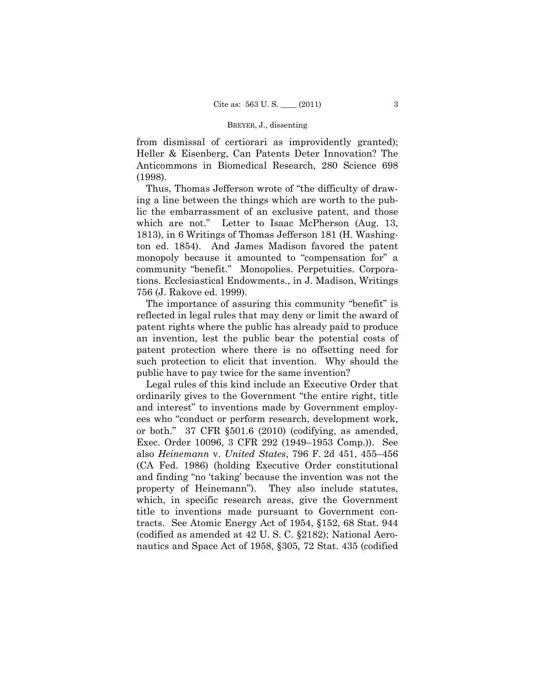#### BREYER, J., dissenting

from dismissal of certiorari as improvidently granted); Heller & Eisenberg, Can Patents Deter Innovation? The Anticommons in Biomedical Research, 280 Science 698 (1998).

Thus, Thomas Jefferson wrote of "the difficulty of drawing a line between the things which are worth to the public the embarrassment of an exclusive patent, and those which are not." Letter to Isaac McPherson (Aug. 13, 1813), in 6 Writings of Thomas Jefferson 181 (H. Washington ed. 1854). And James Madison favored the patent monopoly because it amounted to "compensation for" a community "benefit." Monopolies. Perpetuities. Corporations. Ecclesiastical Endowments., in J. Madison, Writings 756 (J. Rakove ed. 1999).

The importance of assuring this community "benefit" is reflected in legal rules that may deny or limit the award of patent rights where the public has already paid to produce an invention, lest the public bear the potential costs of patent protection where there is no offsetting need for such protection to elicit that invention. Why should the public have to pay twice for the same invention?

Legal rules of this kind include an Executive Order that ordinarily gives to the Government "the entire right, title and interest" to inventions made by Government employees who "conduct or perform research, development work, or both." 37 CFR §501.6 (2010) (codifying, as amended, Exec. Order 10096, 3 CFR 292 (1949–1953 Comp.)). See also *Heinemann* v. *United States*, 796 F. 2d 451, 455–456 (CA Fed. 1986) (holding Executive Order constitutional and finding "no 'taking' because the invention was not the property of Heinemann"). They also include statutes, which, in specific research areas, give the Government title to inventions made pursuant to Government contracts. See Atomic Energy Act of 1954, §152, 68 Stat. 944 (codified as amended at 42 U. S. C. §2182); National Aeronautics and Space Act of 1958, §305, 72 Stat. 435 (codified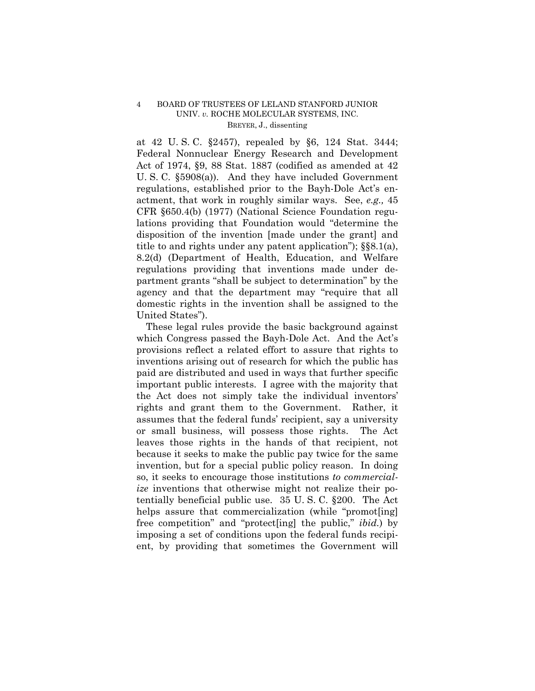## 4 BOARD OF TRUSTEES OF LELAND STANFORD JUNIOR UNIV. *v.* ROCHE MOLECULAR SYSTEMS, INC. BREYER, J., dissenting

at 42 U. S. C. §2457), repealed by §6, 124 Stat. 3444; Federal Nonnuclear Energy Research and Development Act of 1974, §9, 88 Stat. 1887 (codified as amended at 42 U. S. C. §5908(a)). And they have included Government regulations, established prior to the Bayh-Dole Act's enactment, that work in roughly similar ways. See, *e.g.,* 45 CFR §650.4(b) (1977) (National Science Foundation regulations providing that Foundation would "determine the disposition of the invention [made under the grant] and title to and rights under any patent application"); §§8.1(a), 8.2(d) (Department of Health, Education, and Welfare regulations providing that inventions made under department grants "shall be subject to determination" by the agency and that the department may "require that all domestic rights in the invention shall be assigned to the United States").

These legal rules provide the basic background against which Congress passed the Bayh-Dole Act. And the Act's provisions reflect a related effort to assure that rights to inventions arising out of research for which the public has paid are distributed and used in ways that further specific important public interests. I agree with the majority that the Act does not simply take the individual inventors' rights and grant them to the Government. Rather, it assumes that the federal funds' recipient, say a university or small business, will possess those rights. The Act leaves those rights in the hands of that recipient, not because it seeks to make the public pay twice for the same invention, but for a special public policy reason. In doing so, it seeks to encourage those institutions *to commercialize* inventions that otherwise might not realize their potentially beneficial public use. 35 U. S. C. §200. The Act helps assure that commercialization (while "promot[ing] free competition" and "protect[ing] the public," *ibid.*) by imposing a set of conditions upon the federal funds recipient, by providing that sometimes the Government will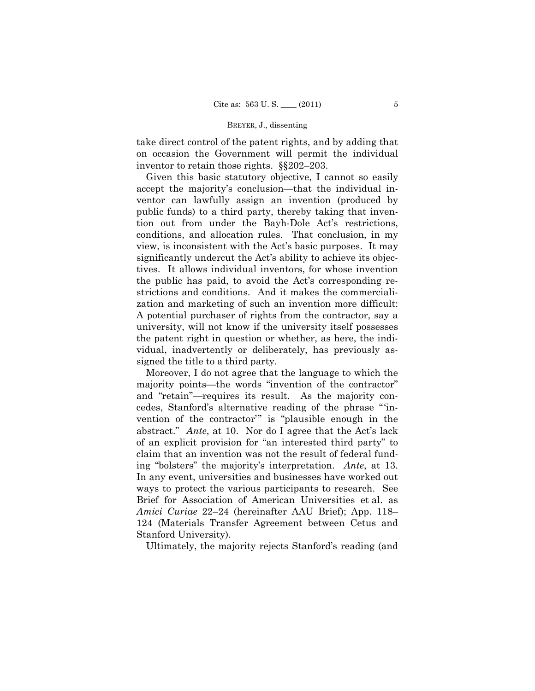#### BREYER, J., dissenting

take direct control of the patent rights, and by adding that on occasion the Government will permit the individual inventor to retain those rights. §§202–203.

Given this basic statutory objective, I cannot so easily accept the majority's conclusion—that the individual inventor can lawfully assign an invention (produced by public funds) to a third party, thereby taking that invention out from under the Bayh-Dole Act's restrictions, conditions, and allocation rules. That conclusion, in my view, is inconsistent with the Act's basic purposes. It may significantly undercut the Act's ability to achieve its objectives. It allows individual inventors, for whose invention the public has paid, to avoid the Act's corresponding restrictions and conditions. And it makes the commercialization and marketing of such an invention more difficult: A potential purchaser of rights from the contractor, say a university, will not know if the university itself possesses the patent right in question or whether, as here, the individual, inadvertently or deliberately, has previously assigned the title to a third party.

Moreover, I do not agree that the language to which the majority points—the words "invention of the contractor" and "retain"—requires its result. As the majority concedes, Stanford's alternative reading of the phrase "'invention of the contractor'" is "plausible enough in the abstract." *Ante*, at 10. Nor do I agree that the Act's lack of an explicit provision for "an interested third party" to claim that an invention was not the result of federal funding "bolsters" the majority's interpretation. *Ante*, at 13. In any event, universities and businesses have worked out ways to protect the various participants to research. See Brief for Association of American Universities et al. as *Amici Curiae* 22–24 (hereinafter AAU Brief); App. 118– 124 (Materials Transfer Agreement between Cetus and Stanford University).

Ultimately, the majority rejects Stanford's reading (and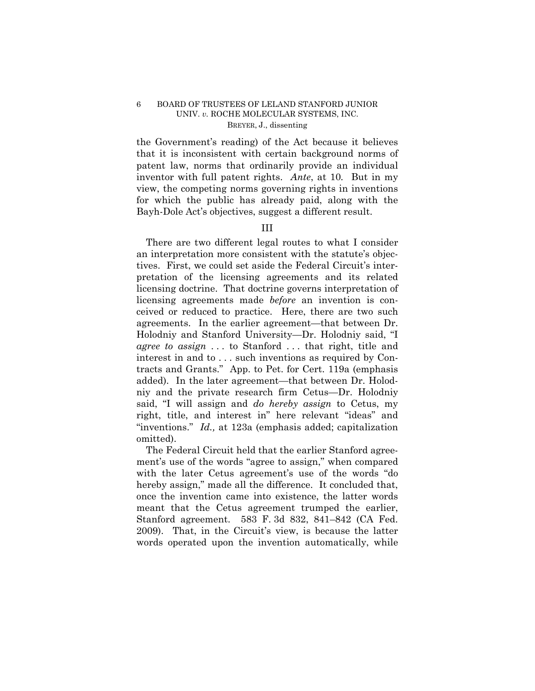## 6 BOARD OF TRUSTEES OF LELAND STANFORD JUNIOR UNIV. *v.* ROCHE MOLECULAR SYSTEMS, INC. BREYER, J., dissenting

the Government's reading) of the Act because it believes that it is inconsistent with certain background norms of patent law, norms that ordinarily provide an individual inventor with full patent rights. *Ante*, at 10*.* But in my view, the competing norms governing rights in inventions for which the public has already paid, along with the Bayh-Dole Act's objectives, suggest a different result.

#### III

There are two different legal routes to what I consider an interpretation more consistent with the statute's objectives. First, we could set aside the Federal Circuit's interpretation of the licensing agreements and its related licensing doctrine. That doctrine governs interpretation of licensing agreements made *before* an invention is conceived or reduced to practice. Here, there are two such agreements. In the earlier agreement—that between Dr. Holodniy and Stanford University—Dr. Holodniy said, "I *agree to assign* . . . to Stanford . . . that right, title and interest in and to . . . such inventions as required by Contracts and Grants." App. to Pet. for Cert. 119a (emphasis added). In the later agreement—that between Dr. Holodniy and the private research firm Cetus—Dr. Holodniy said, "I will assign and *do hereby assign* to Cetus, my right, title, and interest in" here relevant "ideas" and "inventions." *Id.,* at 123a (emphasis added; capitalization omitted).

The Federal Circuit held that the earlier Stanford agreement's use of the words "agree to assign," when compared with the later Cetus agreement's use of the words "do hereby assign," made all the difference. It concluded that, once the invention came into existence, the latter words meant that the Cetus agreement trumped the earlier, Stanford agreement. 583 F. 3d 832, 841–842 (CA Fed. 2009). That, in the Circuit's view, is because the latter words operated upon the invention automatically, while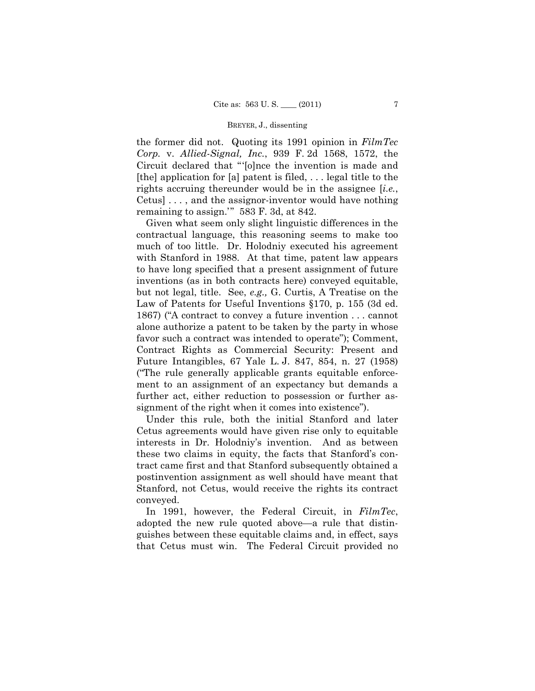#### BREYER, J., dissenting

the former did not. Quoting its 1991 opinion in *FilmTec Corp.* v. *Allied-Signal, Inc.*, 939 F. 2d 1568, 1572, the Circuit declared that "'[o]nce the invention is made and [the] application for [a] patent is filed,  $\dots$  legal title to the rights accruing thereunder would be in the assignee [*i.e.*, Cetus] . . . , and the assignor-inventor would have nothing remaining to assign.'" 583 F. 3d, at 842.

Given what seem only slight linguistic differences in the contractual language, this reasoning seems to make too much of too little. Dr. Holodniy executed his agreement with Stanford in 1988. At that time, patent law appears to have long specified that a present assignment of future inventions (as in both contracts here) conveyed equitable, but not legal, title. See, *e.g.,* G. Curtis, A Treatise on the Law of Patents for Useful Inventions §170, p. 155 (3d ed. 1867) ("A contract to convey a future invention . . . cannot alone authorize a patent to be taken by the party in whose favor such a contract was intended to operate"); Comment, Contract Rights as Commercial Security: Present and Future Intangibles, 67 Yale L. J. 847, 854, n. 27 (1958) ("The rule generally applicable grants equitable enforcement to an assignment of an expectancy but demands a further act, either reduction to possession or further assignment of the right when it comes into existence").

Under this rule, both the initial Stanford and later Cetus agreements would have given rise only to equitable interests in Dr. Holodniy's invention. And as between these two claims in equity, the facts that Stanford's contract came first and that Stanford subsequently obtained a postinvention assignment as well should have meant that Stanford, not Cetus, would receive the rights its contract conveyed.

In 1991, however, the Federal Circuit, in *FilmTec*, adopted the new rule quoted above—a rule that distinguishes between these equitable claims and, in effect, says that Cetus must win. The Federal Circuit provided no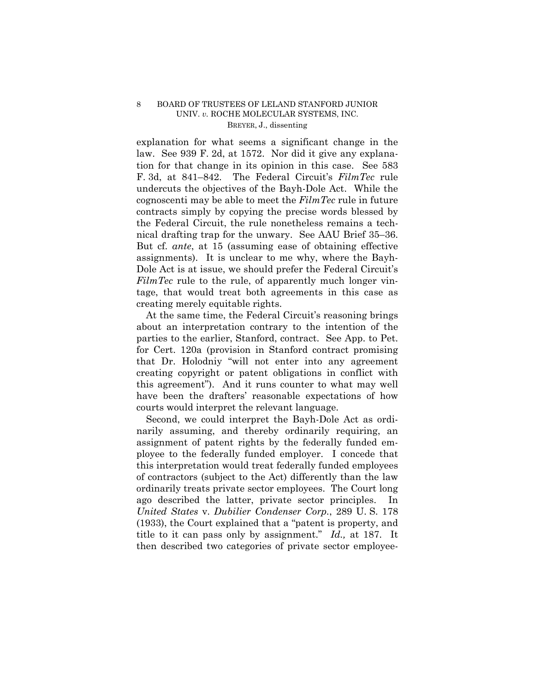## 8 BOARD OF TRUSTEES OF LELAND STANFORD JUNIOR UNIV. *v.* ROCHE MOLECULAR SYSTEMS, INC. BREYER, J., dissenting

explanation for what seems a significant change in the law. See 939 F. 2d, at 1572. Nor did it give any explanation for that change in its opinion in this case. See 583 F. 3d, at 841–842. The Federal Circuit's *FilmTec* rule undercuts the objectives of the Bayh-Dole Act. While the cognoscenti may be able to meet the *FilmTec* rule in future contracts simply by copying the precise words blessed by the Federal Circuit, the rule nonetheless remains a technical drafting trap for the unwary. See AAU Brief 35–36. But cf. *ante*, at 15 (assuming ease of obtaining effective assignments). It is unclear to me why, where the Bayh-Dole Act is at issue, we should prefer the Federal Circuit's *FilmTec* rule to the rule, of apparently much longer vintage, that would treat both agreements in this case as creating merely equitable rights.

At the same time, the Federal Circuit's reasoning brings about an interpretation contrary to the intention of the parties to the earlier, Stanford, contract. See App. to Pet. for Cert. 120a (provision in Stanford contract promising that Dr. Holodniy "will not enter into any agreement creating copyright or patent obligations in conflict with this agreement"). And it runs counter to what may well have been the drafters' reasonable expectations of how courts would interpret the relevant language.

Second, we could interpret the Bayh-Dole Act as ordinarily assuming, and thereby ordinarily requiring, an assignment of patent rights by the federally funded employee to the federally funded employer. I concede that this interpretation would treat federally funded employees of contractors (subject to the Act) differently than the law ordinarily treats private sector employees. The Court long ago described the latter, private sector principles. In *United States* v. *Dubilier Condenser Corp.*, 289 U. S. 178 (1933), the Court explained that a "patent is property, and title to it can pass only by assignment." *Id.,* at 187. It then described two categories of private sector employee-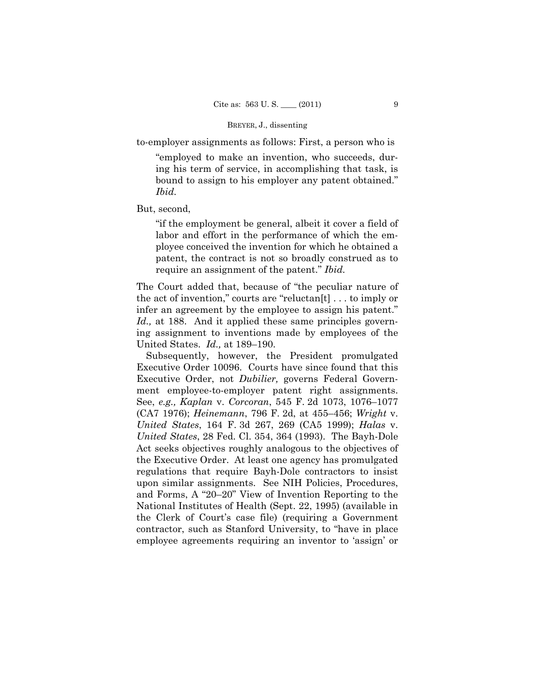#### BREYER, J., dissenting

to-employer assignments as follows: First, a person who is

"employed to make an invention, who succeeds, during his term of service, in accomplishing that task, is bound to assign to his employer any patent obtained." *Ibid.* 

But, second,

"if the employment be general, albeit it cover a field of labor and effort in the performance of which the employee conceived the invention for which he obtained a patent, the contract is not so broadly construed as to require an assignment of the patent." *Ibid.* 

The Court added that, because of "the peculiar nature of the act of invention," courts are "reluctan[t] . . . to imply or infer an agreement by the employee to assign his patent." *Id.,* at 188. And it applied these same principles governing assignment to inventions made by employees of the United States. *Id.,* at 189–190.

Subsequently, however, the President promulgated Executive Order 10096. Courts have since found that this Executive Order, not *Dubilier,* governs Federal Government employee-to-employer patent right assignments. See, *e.g., Kaplan* v. *Corcoran*, 545 F. 2d 1073, 1076–1077 (CA7 1976); *Heinemann*, 796 F. 2d, at 455–456; *Wright* v. *United States*, 164 F. 3d 267, 269 (CA5 1999); *Halas* v. *United States*, 28 Fed. Cl. 354, 364 (1993). The Bayh-Dole Act seeks objectives roughly analogous to the objectives of the Executive Order. At least one agency has promulgated regulations that require Bayh-Dole contractors to insist upon similar assignments. See NIH Policies, Procedures, and Forms, A "20–20" View of Invention Reporting to the National Institutes of Health (Sept. 22, 1995) (available in the Clerk of Court's case file) (requiring a Government contractor, such as Stanford University, to "have in place employee agreements requiring an inventor to 'assign' or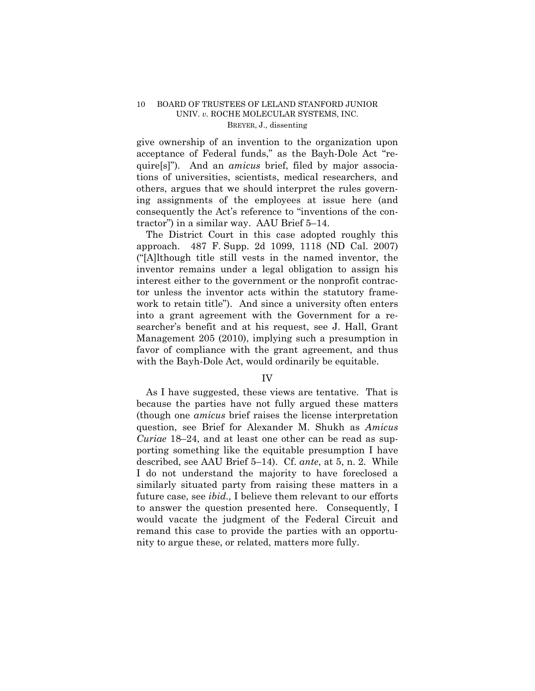## 10 BOARD OF TRUSTEES OF LELAND STANFORD JUNIOR UNIV. *v.* ROCHE MOLECULAR SYSTEMS, INC. BREYER, J., dissenting

give ownership of an invention to the organization upon acceptance of Federal funds," as the Bayh-Dole Act "require[s]"). And an *amicus* brief, filed by major associations of universities, scientists, medical researchers, and others, argues that we should interpret the rules governing assignments of the employees at issue here (and consequently the Act's reference to "inventions of the contractor") in a similar way. AAU Brief 5–14.

The District Court in this case adopted roughly this approach. 487 F. Supp. 2d 1099, 1118 (ND Cal. 2007) ("[A]lthough title still vests in the named inventor, the inventor remains under a legal obligation to assign his interest either to the government or the nonprofit contractor unless the inventor acts within the statutory framework to retain title"). And since a university often enters into a grant agreement with the Government for a researcher's benefit and at his request, see J. Hall, Grant Management 205 (2010), implying such a presumption in favor of compliance with the grant agreement, and thus with the Bayh-Dole Act, would ordinarily be equitable.

## IV

As I have suggested, these views are tentative. That is because the parties have not fully argued these matters (though one *amicus* brief raises the license interpretation question, see Brief for Alexander M. Shukh as *Amicus Curiae* 18–24, and at least one other can be read as supporting something like the equitable presumption I have described, see AAU Brief 5–14). Cf. *ante*, at 5, n. 2. While I do not understand the majority to have foreclosed a similarly situated party from raising these matters in a future case, see *ibid.,* I believe them relevant to our efforts to answer the question presented here. Consequently, I would vacate the judgment of the Federal Circuit and remand this case to provide the parties with an opportunity to argue these, or related, matters more fully.